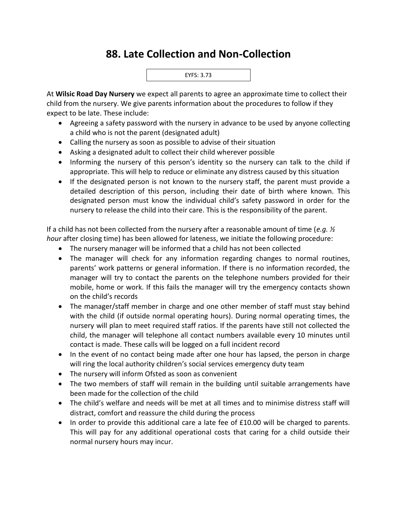## **88. Late Collection and Non-Collection**



At **Wilsic Road Day Nursery** we expect all parents to agree an approximate time to collect their child from the nursery. We give parents information about the procedures to follow if they expect to be late. These include:

- Agreeing a safety password with the nursery in advance to be used by anyone collecting a child who is not the parent (designated adult)
- Calling the nursery as soon as possible to advise of their situation
- Asking a designated adult to collect their child wherever possible
- Informing the nursery of this person's identity so the nursery can talk to the child if appropriate. This will help to reduce or eliminate any distress caused by this situation
- If the designated person is not known to the nursery staff, the parent must provide a detailed description of this person, including their date of birth where known. This designated person must know the individual child's safety password in order for the nursery to release the child into their care. This is the responsibility of the parent.

If a child has not been collected from the nursery after a reasonable amount of time (*e.g. ½ hour* after closing time) has been allowed for lateness, we initiate the following procedure:

- The nursery manager will be informed that a child has not been collected
- The manager will check for any information regarding changes to normal routines, parents' work patterns or general information. If there is no information recorded, the manager will try to contact the parents on the telephone numbers provided for their mobile, home or work. If this fails the manager will try the emergency contacts shown on the child's records
- The manager/staff member in charge and one other member of staff must stay behind with the child (if outside normal operating hours). During normal operating times, the nursery will plan to meet required staff ratios. If the parents have still not collected the child, the manager will telephone all contact numbers available every 10 minutes until contact is made. These calls will be logged on a full incident record
- In the event of no contact being made after one hour has lapsed, the person in charge will ring the local authority children's social services emergency duty team
- The nursery will inform Ofsted as soon as convenient
- The two members of staff will remain in the building until suitable arrangements have been made for the collection of the child
- The child's welfare and needs will be met at all times and to minimise distress staff will distract, comfort and reassure the child during the process
- In order to provide this additional care a late fee of £10.00 will be charged to parents. This will pay for any additional operational costs that caring for a child outside their normal nursery hours may incur.